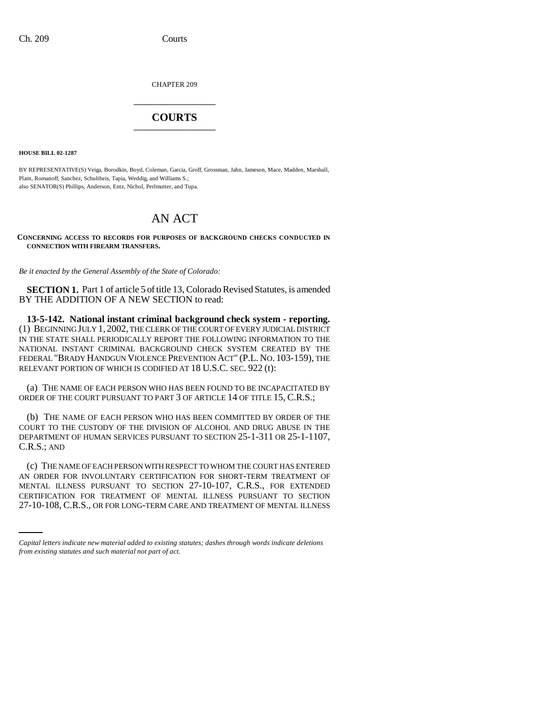CHAPTER 209 \_\_\_\_\_\_\_\_\_\_\_\_\_\_\_

## **COURTS** \_\_\_\_\_\_\_\_\_\_\_\_\_\_\_

**HOUSE BILL 02-1287**

BY REPRESENTATIVE(S) Veiga, Borodkin, Boyd, Coleman, Garcia, Groff, Grossman, Jahn, Jameson, Mace, Madden, Marshall, Plant, Romanoff, Sanchez, Schultheis, Tapia, Weddig, and Williams S.; also SENATOR(S) Phillips, Anderson, Entz, Nichol, Perlmutter, and Tupa.

## AN ACT

**CONCERNING ACCESS TO RECORDS FOR PURPOSES OF BACKGROUND CHECKS CONDUCTED IN CONNECTION WITH FIREARM TRANSFERS.**

*Be it enacted by the General Assembly of the State of Colorado:*

**SECTION 1.** Part 1 of article 5 of title 13, Colorado Revised Statutes, is amended BY THE ADDITION OF A NEW SECTION to read:

**13-5-142. National instant criminal background check system - reporting.** (1) BEGINNING JULY 1, 2002, THE CLERK OF THE COURT OF EVERY JUDICIAL DISTRICT IN THE STATE SHALL PERIODICALLY REPORT THE FOLLOWING INFORMATION TO THE NATIONAL INSTANT CRIMINAL BACKGROUND CHECK SYSTEM CREATED BY THE FEDERAL "BRADY HANDGUN VIOLENCE PREVENTION ACT" (P.L. NO. 103-159), THE RELEVANT PORTION OF WHICH IS CODIFIED AT 18 U.S.C. SEC. 922 (t):

(a) THE NAME OF EACH PERSON WHO HAS BEEN FOUND TO BE INCAPACITATED BY ORDER OF THE COURT PURSUANT TO PART 3 OF ARTICLE 14 OF TITLE 15, C.R.S.;

(b) THE NAME OF EACH PERSON WHO HAS BEEN COMMITTED BY ORDER OF THE COURT TO THE CUSTODY OF THE DIVISION OF ALCOHOL AND DRUG ABUSE IN THE DEPARTMENT OF HUMAN SERVICES PURSUANT TO SECTION 25-1-311 OR 25-1-1107, C.R.S.; AND

MENTAL ILLNESS PURSUANT TO SECTION 27-10-107, C.R.S., FOR EXTENDED (c) THE NAME OF EACH PERSON WITH RESPECT TO WHOM THE COURT HAS ENTERED AN ORDER FOR INVOLUNTARY CERTIFICATION FOR SHORT-TERM TREATMENT OF CERTIFICATION FOR TREATMENT OF MENTAL ILLNESS PURSUANT TO SECTION 27-10-108, C.R.S., OR FOR LONG-TERM CARE AND TREATMENT OF MENTAL ILLNESS

*Capital letters indicate new material added to existing statutes; dashes through words indicate deletions from existing statutes and such material not part of act.*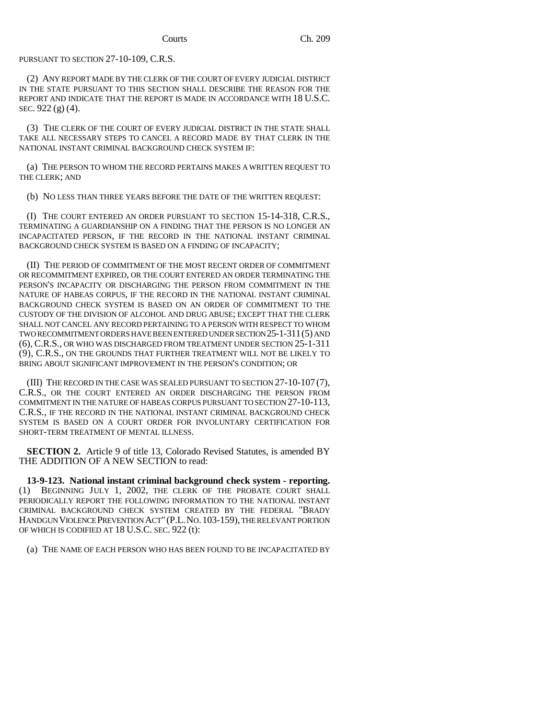PURSUANT TO SECTION 27-10-109, C.R.S.

(2) ANY REPORT MADE BY THE CLERK OF THE COURT OF EVERY JUDICIAL DISTRICT IN THE STATE PURSUANT TO THIS SECTION SHALL DESCRIBE THE REASON FOR THE REPORT AND INDICATE THAT THE REPORT IS MADE IN ACCORDANCE WITH 18 U.S.C. SEC. 922 (g) (4).

(3) THE CLERK OF THE COURT OF EVERY JUDICIAL DISTRICT IN THE STATE SHALL TAKE ALL NECESSARY STEPS TO CANCEL A RECORD MADE BY THAT CLERK IN THE NATIONAL INSTANT CRIMINAL BACKGROUND CHECK SYSTEM IF:

(a) THE PERSON TO WHOM THE RECORD PERTAINS MAKES A WRITTEN REQUEST TO THE CLERK; AND

(b) NO LESS THAN THREE YEARS BEFORE THE DATE OF THE WRITTEN REQUEST:

(I) THE COURT ENTERED AN ORDER PURSUANT TO SECTION 15-14-318, C.R.S., TERMINATING A GUARDIANSHIP ON A FINDING THAT THE PERSON IS NO LONGER AN INCAPACITATED PERSON, IF THE RECORD IN THE NATIONAL INSTANT CRIMINAL BACKGROUND CHECK SYSTEM IS BASED ON A FINDING OF INCAPACITY;

(II) THE PERIOD OF COMMITMENT OF THE MOST RECENT ORDER OF COMMITMENT OR RECOMMITMENT EXPIRED, OR THE COURT ENTERED AN ORDER TERMINATING THE PERSON'S INCAPACITY OR DISCHARGING THE PERSON FROM COMMITMENT IN THE NATURE OF HABEAS CORPUS, IF THE RECORD IN THE NATIONAL INSTANT CRIMINAL BACKGROUND CHECK SYSTEM IS BASED ON AN ORDER OF COMMITMENT TO THE CUSTODY OF THE DIVISION OF ALCOHOL AND DRUG ABUSE; EXCEPT THAT THE CLERK SHALL NOT CANCEL ANY RECORD PERTAINING TO A PERSON WITH RESPECT TO WHOM TWO RECOMMITMENT ORDERS HAVE BEEN ENTERED UNDER SECTION 25-1-311(5) AND (6), C.R.S., OR WHO WAS DISCHARGED FROM TREATMENT UNDER SECTION 25-1-311 (9), C.R.S., ON THE GROUNDS THAT FURTHER TREATMENT WILL NOT BE LIKELY TO BRING ABOUT SIGNIFICANT IMPROVEMENT IN THE PERSON'S CONDITION; OR

(III) THE RECORD IN THE CASE WAS SEALED PURSUANT TO SECTION 27-10-107 (7), C.R.S., OR THE COURT ENTERED AN ORDER DISCHARGING THE PERSON FROM COMMITMENT IN THE NATURE OF HABEAS CORPUS PURSUANT TO SECTION 27-10-113, C.R.S., IF THE RECORD IN THE NATIONAL INSTANT CRIMINAL BACKGROUND CHECK SYSTEM IS BASED ON A COURT ORDER FOR INVOLUNTARY CERTIFICATION FOR SHORT-TERM TREATMENT OF MENTAL ILLNESS.

**SECTION 2.** Article 9 of title 13, Colorado Revised Statutes, is amended BY THE ADDITION OF A NEW SECTION to read:

**13-9-123. National instant criminal background check system - reporting.** (1) BEGINNING JULY 1, 2002, THE CLERK OF THE PROBATE COURT SHALL PERIODICALLY REPORT THE FOLLOWING INFORMATION TO THE NATIONAL INSTANT CRIMINAL BACKGROUND CHECK SYSTEM CREATED BY THE FEDERAL "BRADY HANDGUN VIOLENCE PREVENTION ACT" (P.L.NO.103-159), THE RELEVANT PORTION OF WHICH IS CODIFIED AT 18 U.S.C. SEC. 922 (t):

(a) THE NAME OF EACH PERSON WHO HAS BEEN FOUND TO BE INCAPACITATED BY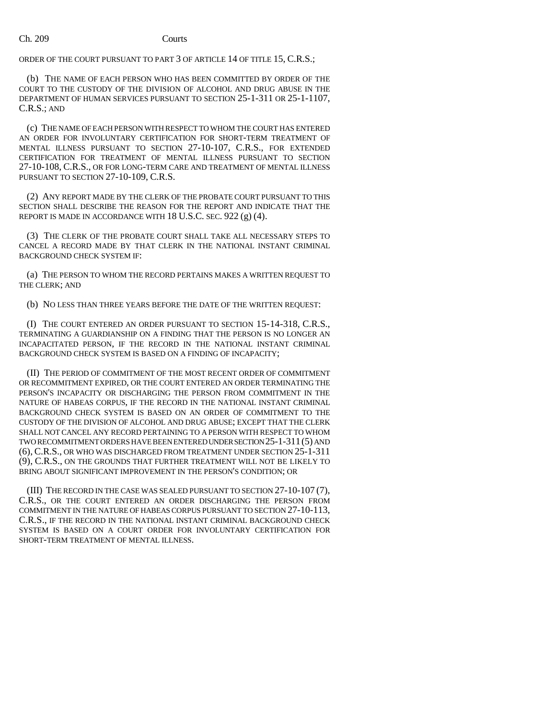ORDER OF THE COURT PURSUANT TO PART 3 OF ARTICLE 14 OF TITLE 15, C.R.S.;

(b) THE NAME OF EACH PERSON WHO HAS BEEN COMMITTED BY ORDER OF THE COURT TO THE CUSTODY OF THE DIVISION OF ALCOHOL AND DRUG ABUSE IN THE DEPARTMENT OF HUMAN SERVICES PURSUANT TO SECTION 25-1-311 OR 25-1-1107, C.R.S.; AND

(c) THE NAME OF EACH PERSON WITH RESPECT TO WHOM THE COURT HAS ENTERED AN ORDER FOR INVOLUNTARY CERTIFICATION FOR SHORT-TERM TREATMENT OF MENTAL ILLNESS PURSUANT TO SECTION 27-10-107, C.R.S., FOR EXTENDED CERTIFICATION FOR TREATMENT OF MENTAL ILLNESS PURSUANT TO SECTION 27-10-108, C.R.S., OR FOR LONG-TERM CARE AND TREATMENT OF MENTAL ILLNESS PURSUANT TO SECTION 27-10-109, C.R.S.

(2) ANY REPORT MADE BY THE CLERK OF THE PROBATE COURT PURSUANT TO THIS SECTION SHALL DESCRIBE THE REASON FOR THE REPORT AND INDICATE THAT THE REPORT IS MADE IN ACCORDANCE WITH 18 U.S.C. SEC. 922 (g) (4).

(3) THE CLERK OF THE PROBATE COURT SHALL TAKE ALL NECESSARY STEPS TO CANCEL A RECORD MADE BY THAT CLERK IN THE NATIONAL INSTANT CRIMINAL BACKGROUND CHECK SYSTEM IF:

(a) THE PERSON TO WHOM THE RECORD PERTAINS MAKES A WRITTEN REQUEST TO THE CLERK; AND

(b) NO LESS THAN THREE YEARS BEFORE THE DATE OF THE WRITTEN REQUEST:

(I) THE COURT ENTERED AN ORDER PURSUANT TO SECTION 15-14-318, C.R.S., TERMINATING A GUARDIANSHIP ON A FINDING THAT THE PERSON IS NO LONGER AN INCAPACITATED PERSON, IF THE RECORD IN THE NATIONAL INSTANT CRIMINAL BACKGROUND CHECK SYSTEM IS BASED ON A FINDING OF INCAPACITY;

(II) THE PERIOD OF COMMITMENT OF THE MOST RECENT ORDER OF COMMITMENT OR RECOMMITMENT EXPIRED, OR THE COURT ENTERED AN ORDER TERMINATING THE PERSON'S INCAPACITY OR DISCHARGING THE PERSON FROM COMMITMENT IN THE NATURE OF HABEAS CORPUS, IF THE RECORD IN THE NATIONAL INSTANT CRIMINAL BACKGROUND CHECK SYSTEM IS BASED ON AN ORDER OF COMMITMENT TO THE CUSTODY OF THE DIVISION OF ALCOHOL AND DRUG ABUSE; EXCEPT THAT THE CLERK SHALL NOT CANCEL ANY RECORD PERTAINING TO A PERSON WITH RESPECT TO WHOM TWO RECOMMITMENT ORDERS HAVE BEEN ENTERED UNDER SECTION 25-1-311(5) AND (6), C.R.S., OR WHO WAS DISCHARGED FROM TREATMENT UNDER SECTION 25-1-311 (9), C.R.S., ON THE GROUNDS THAT FURTHER TREATMENT WILL NOT BE LIKELY TO BRING ABOUT SIGNIFICANT IMPROVEMENT IN THE PERSON'S CONDITION; OR

(III) THE RECORD IN THE CASE WAS SEALED PURSUANT TO SECTION 27-10-107 (7), C.R.S., OR THE COURT ENTERED AN ORDER DISCHARGING THE PERSON FROM COMMITMENT IN THE NATURE OF HABEAS CORPUS PURSUANT TO SECTION 27-10-113, C.R.S., IF THE RECORD IN THE NATIONAL INSTANT CRIMINAL BACKGROUND CHECK SYSTEM IS BASED ON A COURT ORDER FOR INVOLUNTARY CERTIFICATION FOR SHORT-TERM TREATMENT OF MENTAL ILLNESS.